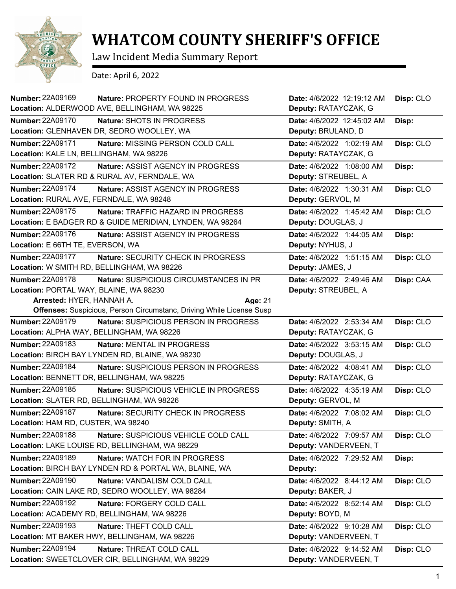

## **WHATCOM COUNTY SHERIFF'S OFFICE**

Law Incident Media Summary Report

Date: April 6, 2022

| Number: 22A09169                          | Nature: PROPERTY FOUND IN PROGRESS                                          | Date: 4/6/2022 12:19:12 AM | Disp: CLO |
|-------------------------------------------|-----------------------------------------------------------------------------|----------------------------|-----------|
|                                           | Location: ALDERWOOD AVE, BELLINGHAM, WA 98225                               | Deputy: RATAYCZAK, G       |           |
| <b>Number: 22A09170</b>                   | Nature: SHOTS IN PROGRESS                                                   | Date: 4/6/2022 12:45:02 AM | Disp:     |
|                                           | Location: GLENHAVEN DR, SEDRO WOOLLEY, WA                                   | Deputy: BRULAND, D         |           |
| <b>Number: 22A09171</b>                   | Nature: MISSING PERSON COLD CALL                                            | Date: 4/6/2022 1:02:19 AM  | Disp: CLO |
| Location: KALE LN, BELLINGHAM, WA 98226   |                                                                             | Deputy: RATAYCZAK, G       |           |
| <b>Number: 22A09172</b>                   | Nature: ASSIST AGENCY IN PROGRESS                                           | Date: 4/6/2022 1:08:00 AM  | Disp:     |
|                                           | Location: SLATER RD & RURAL AV, FERNDALE, WA                                | Deputy: STREUBEL, A        |           |
| Number: 22A09174                          | Nature: ASSIST AGENCY IN PROGRESS                                           | Date: 4/6/2022 1:30:31 AM  | Disp: CLO |
| Location: RURAL AVE, FERNDALE, WA 98248   |                                                                             | Deputy: GERVOL, M          |           |
| <b>Number: 22A09175</b>                   | Nature: TRAFFIC HAZARD IN PROGRESS                                          | Date: 4/6/2022 1:45:42 AM  | Disp: CLO |
|                                           | Location: E BADGER RD & GUIDE MERIDIAN, LYNDEN, WA 98264                    | Deputy: DOUGLAS, J         |           |
| Number: 22A09176                          | Nature: ASSIST AGENCY IN PROGRESS                                           | Date: 4/6/2022 1:44:05 AM  | Disp:     |
| Location: E 66TH TE, EVERSON, WA          |                                                                             | Deputy: NYHUS, J           |           |
| <b>Number: 22A09177</b>                   | Nature: SECURITY CHECK IN PROGRESS                                          | Date: 4/6/2022 1:51:15 AM  | Disp: CLO |
|                                           | Location: W SMITH RD, BELLINGHAM, WA 98226                                  | Deputy: JAMES, J           |           |
| Number: 22A09178                          | Nature: SUSPICIOUS CIRCUMSTANCES IN PR                                      | Date: 4/6/2022 2:49:46 AM  | Disp: CAA |
| Location: PORTAL WAY, BLAINE, WA 98230    |                                                                             | Deputy: STREUBEL, A        |           |
| Arrested: HYER, HANNAH A.                 | Age: 21                                                                     |                            |           |
|                                           | <b>Offenses:</b> Suspicious, Person Circumstanc, Driving While License Susp |                            |           |
| <b>Number: 22A09179</b>                   | Nature: SUSPICIOUS PERSON IN PROGRESS                                       | Date: 4/6/2022 2:53:34 AM  | Disp: CLO |
|                                           | Location: ALPHA WAY, BELLINGHAM, WA 98226                                   | Deputy: RATAYCZAK, G       |           |
| Number: 22A09183                          | Nature: MENTAL IN PROGRESS                                                  | Date: 4/6/2022 3:53:15 AM  | Disp: CLO |
|                                           | Location: BIRCH BAY LYNDEN RD, BLAINE, WA 98230                             | Deputy: DOUGLAS, J         |           |
| <b>Number: 22A09184</b>                   | Nature: SUSPICIOUS PERSON IN PROGRESS                                       | Date: 4/6/2022 4:08:41 AM  | Disp: CLO |
|                                           | Location: BENNETT DR, BELLINGHAM, WA 98225                                  | Deputy: RATAYCZAK, G       |           |
| <b>Number: 22A09185</b>                   | Nature: SUSPICIOUS VEHICLE IN PROGRESS                                      | Date: 4/6/2022 4:35:19 AM  | Disp: CLO |
| Location: SLATER RD, BELLINGHAM, WA 98226 |                                                                             | Deputy: GERVOL, M          |           |
| <b>Number: 22A09187</b>                   | Nature: SECURITY CHECK IN PROGRESS                                          | Date: 4/6/2022 7:08:02 AM  | Disp: CLO |
| Location: HAM RD, CUSTER, WA 98240        |                                                                             | Deputy: SMITH, A           |           |
| <b>Number: 22A09188</b>                   | Nature: SUSPICIOUS VEHICLE COLD CALL                                        | Date: 4/6/2022 7:09:57 AM  | Disp: CLO |
|                                           | Location: LAKE LOUISE RD, BELLINGHAM, WA 98229                              | Deputy: VANDERVEEN, T      |           |
| Number: 22A09189                          | Nature: WATCH FOR IN PROGRESS                                               | Date: 4/6/2022 7:29:52 AM  | Disp:     |
|                                           | Location: BIRCH BAY LYNDEN RD & PORTAL WA, BLAINE, WA                       | Deputy:                    |           |
| <b>Number: 22A09190</b>                   | Nature: VANDALISM COLD CALL                                                 | Date: 4/6/2022 8:44:12 AM  | Disp: CLO |
|                                           | Location: CAIN LAKE RD, SEDRO WOOLLEY, WA 98284                             | Deputy: BAKER, J           |           |
| Number: 22A09192                          | Nature: FORGERY COLD CALL                                                   | Date: 4/6/2022 8:52:14 AM  | Disp: CLO |
|                                           | Location: ACADEMY RD, BELLINGHAM, WA 98226                                  | Deputy: BOYD, M            |           |
| <b>Number: 22A09193</b>                   | Nature: THEFT COLD CALL                                                     | Date: 4/6/2022 9:10:28 AM  | Disp: CLO |
|                                           | Location: MT BAKER HWY, BELLINGHAM, WA 98226                                | Deputy: VANDERVEEN, T      |           |
| Number: 22A09194                          | Nature: THREAT COLD CALL                                                    | Date: 4/6/2022 9:14:52 AM  | Disp: CLO |
|                                           | Location: SWEETCLOVER CIR, BELLINGHAM, WA 98229                             | Deputy: VANDERVEEN, T      |           |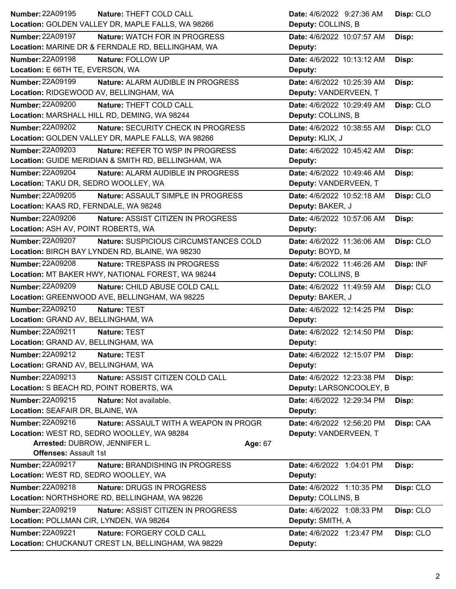| Number: 22A09195<br>Nature: THEFT COLD CALL                      | Date: 4/6/2022 9:27:36 AM  | Disp: CLO |
|------------------------------------------------------------------|----------------------------|-----------|
| Location: GOLDEN VALLEY DR, MAPLE FALLS, WA 98266                | Deputy: COLLINS, B         |           |
| <b>Number: 22A09197</b><br>Nature: WATCH FOR IN PROGRESS         | Date: 4/6/2022 10:07:57 AM | Disp:     |
| Location: MARINE DR & FERNDALE RD, BELLINGHAM, WA                | Deputy:                    |           |
| Number: 22A09198<br>Nature: FOLLOW UP                            | Date: 4/6/2022 10:13:12 AM | Disp:     |
| Location: E 66TH TE, EVERSON, WA                                 | Deputy:                    |           |
| <b>Number: 22A09199</b><br>Nature: ALARM AUDIBLE IN PROGRESS     | Date: 4/6/2022 10:25:39 AM | Disp:     |
| Location: RIDGEWOOD AV, BELLINGHAM, WA                           | Deputy: VANDERVEEN, T      |           |
| <b>Number: 22A09200</b><br>Nature: THEFT COLD CALL               | Date: 4/6/2022 10:29:49 AM | Disp: CLO |
| Location: MARSHALL HILL RD, DEMING, WA 98244                     | Deputy: COLLINS, B         |           |
| <b>Number: 22A09202</b><br>Nature: SECURITY CHECK IN PROGRESS    | Date: 4/6/2022 10:38:55 AM | Disp: CLO |
| Location: GOLDEN VALLEY DR, MAPLE FALLS, WA 98266                | Deputy: KLIX, J            |           |
| <b>Number: 22A09203</b><br>Nature: REFER TO WSP IN PROGRESS      | Date: 4/6/2022 10:45:42 AM | Disp:     |
| Location: GUIDE MERIDIAN & SMITH RD, BELLINGHAM, WA              | Deputy:                    |           |
| Number: 22A09204<br>Nature: ALARM AUDIBLE IN PROGRESS            | Date: 4/6/2022 10:49:46 AM | Disp:     |
| Location: TAKU DR, SEDRO WOOLLEY, WA                             | Deputy: VANDERVEEN, T      |           |
| <b>Number: 22A09205</b><br>Nature: ASSAULT SIMPLE IN PROGRESS    | Date: 4/6/2022 10:52:18 AM | Disp: CLO |
| Location: KAAS RD, FERNDALE, WA 98248                            | Deputy: BAKER, J           |           |
| Number: 22A09206<br>Nature: ASSIST CITIZEN IN PROGRESS           | Date: 4/6/2022 10:57:06 AM | Disp:     |
| Location: ASH AV, POINT ROBERTS, WA                              | Deputy:                    |           |
| <b>Number: 22A09207</b><br>Nature: SUSPICIOUS CIRCUMSTANCES COLD | Date: 4/6/2022 11:36:06 AM | Disp: CLO |
| Location: BIRCH BAY LYNDEN RD, BLAINE, WA 98230                  | Deputy: BOYD, M            |           |
| <b>Number: 22A09208</b><br>Nature: TRESPASS IN PROGRESS          | Date: 4/6/2022 11:46:26 AM | Disp: INF |
| Location: MT BAKER HWY, NATIONAL FOREST, WA 98244                | Deputy: COLLINS, B         |           |
| <b>Number: 22A09209</b><br>Nature: CHILD ABUSE COLD CALL         | Date: 4/6/2022 11:49:59 AM | Disp: CLO |
| Location: GREENWOOD AVE, BELLINGHAM, WA 98225                    | Deputy: BAKER, J           |           |
| <b>Number: 22A09210</b><br>Nature: TEST                          | Date: 4/6/2022 12:14:25 PM | Disp:     |
| Location: GRAND AV, BELLINGHAM, WA                               | Deputy:                    |           |
| Number: 22A09211<br>Nature: TEST                                 | Date: 4/6/2022 12:14:50 PM | Disp:     |
| Location: GRAND AV, BELLINGHAM, WA                               | Deputy:                    |           |
| Number: 22A09212<br>Nature: TEST                                 | Date: 4/6/2022 12:15:07 PM | Disp:     |
| Location: GRAND AV, BELLINGHAM, WA                               | Deputy:                    |           |
| Number: 22A09213<br>Nature: ASSIST CITIZEN COLD CALL             | Date: 4/6/2022 12:23:38 PM | Disp:     |
| Location: S BEACH RD, POINT ROBERTS, WA                          | Deputy: LARSONCOOLEY, B    |           |
| Number: 22A09215<br>Nature: Not available.                       | Date: 4/6/2022 12:29:34 PM | Disp:     |
| Location: SEAFAIR DR, BLAINE, WA                                 | Deputy:                    |           |
| Number: 22A09216<br>Nature: ASSAULT WITH A WEAPON IN PROGR       | Date: 4/6/2022 12:56:20 PM | Disp: CAA |
| Location: WEST RD, SEDRO WOOLLEY, WA 98284                       | Deputy: VANDERVEEN, T      |           |
| Arrested: DUBROW, JENNIFER L.<br>Age: 67                         |                            |           |
| <b>Offenses: Assault 1st</b>                                     |                            |           |
| <b>Number: 22A09217</b><br>Nature: BRANDISHING IN PROGRESS       | Date: 4/6/2022 1:04:01 PM  | Disp:     |
| Location: WEST RD, SEDRO WOOLLEY, WA                             | Deputy:                    |           |
| Number: 22A09218<br>Nature: DRUGS IN PROGRESS                    | Date: 4/6/2022 1:10:35 PM  | Disp: CLO |
| Location: NORTHSHORE RD, BELLINGHAM, WA 98226                    | Deputy: COLLINS, B         |           |
| <b>Number: 22A09219</b><br>Nature: ASSIST CITIZEN IN PROGRESS    | Date: 4/6/2022 1:08:33 PM  | Disp: CLO |
| Location: POLLMAN CIR, LYNDEN, WA 98264                          | Deputy: SMITH, A           |           |
| <b>Number: 22A09221</b><br>Nature: FORGERY COLD CALL             | Date: 4/6/2022 1:23:47 PM  | Disp: CLO |
| Location: CHUCKANUT CREST LN, BELLINGHAM, WA 98229               | Deputy:                    |           |